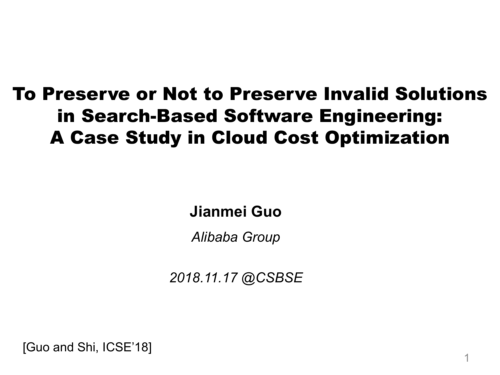#### To Preserve or Not to Preserve Invalid Solutions in Search-Based Software Engineering: A Case Study in Cloud Cost Optimization

**Jianmei Guo**

*Alibaba Group*

*2018.11.17 @CSBSE*

[Guo and Shi, ICSE'18]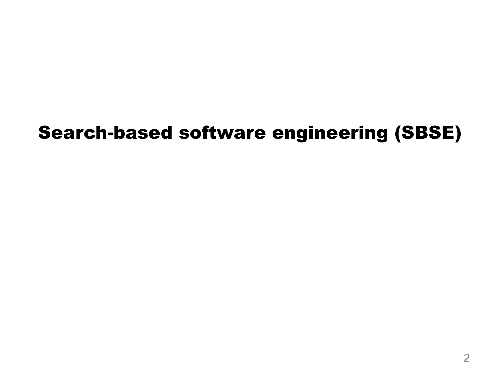### Search-based software engineering (SBSE)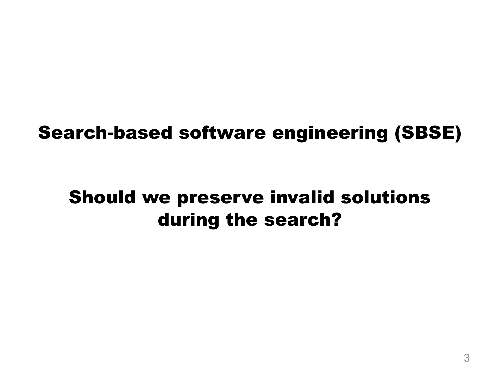#### Search-based software engineering (SBSE)

#### Should we preserve invalid solutions during the search?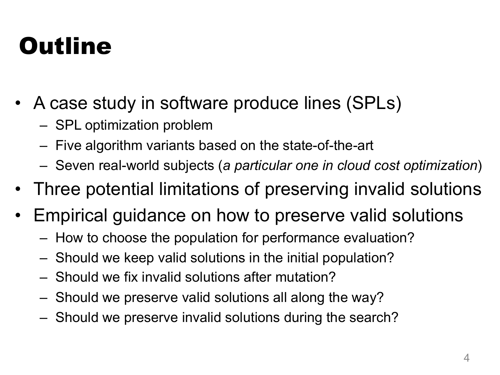### **Outline**

- A case study in software produce lines (SPLs)
	- SPL optimization problem
	- Five algorithm variants based on the state-of-the-art
	- Seven real-world subjects (*a particular one in cloud cost optimization*)
- Three potential limitations of preserving invalid solutions
- Empirical guidance on how to preserve valid solutions
	- How to choose the population for performance evaluation?
	- Should we keep valid solutions in the initial population?
	- Should we fix invalid solutions after mutation?
	- Should we preserve valid solutions all along the way?
	- Should we preserve invalid solutions during the search?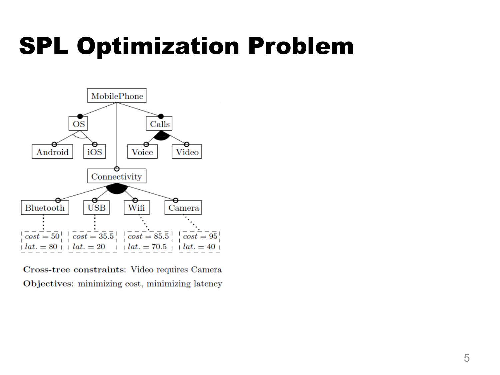### SPL Optimization Problem



Cross-tree constraints: Video requires Camera Objectives: minimizing cost, minimizing latency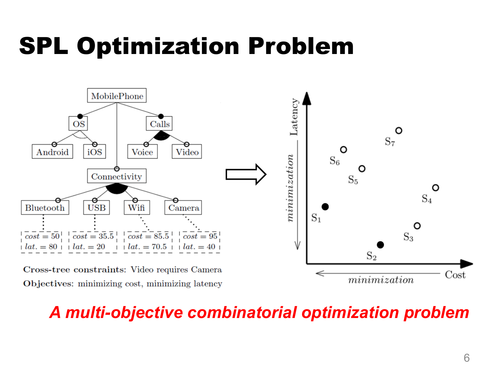### SPL Optimization Problem



#### *A multi-objective combinatorial optimization problem*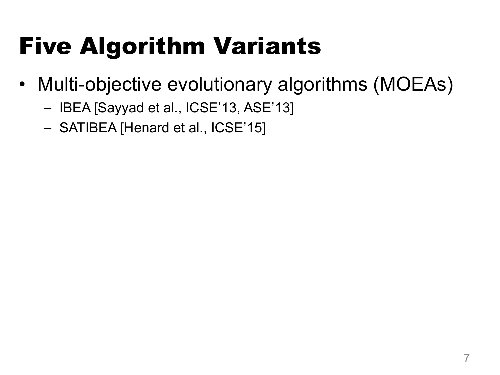# Five Algorithm Variants

- Multi-objective evolutionary algorithms (MOEAs)
	- IBEA [Sayyad et al., ICSE'13, ASE'13]
	- SATIBEA [Henard et al., ICSE'15]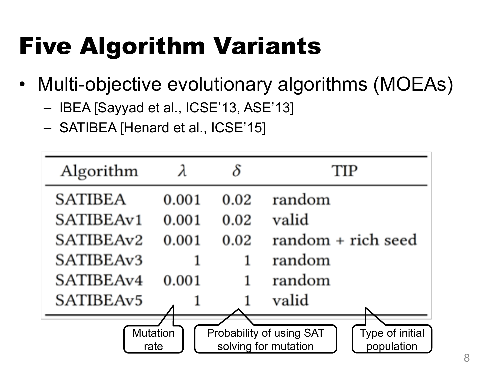# Five Algorithm Variants

- Multi-objective evolutionary algorithms (MOEAs)
	- IBEA [Sayyad et al., ICSE'13, ASE'13]
	- SATIBEA [Henard et al., ICSE'15]

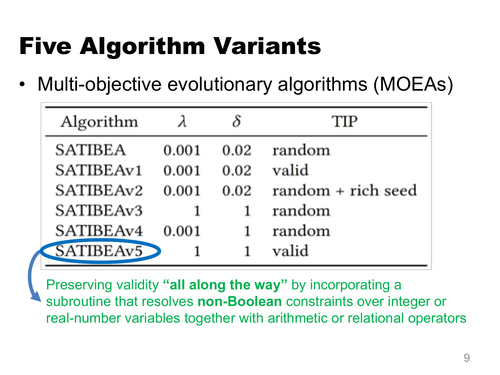# Five Algorithm Variants

Multi-objective evolutionary algorithms (MOEAs)

| Algorithm      |       |      | TIP                |
|----------------|-------|------|--------------------|
| <b>SATIBEA</b> | 0.001 | 0.02 | random             |
| SATIBEAv1      | 0.001 | 0.02 | valid              |
| SATIBEAv2      | 0.001 | 0.02 | random + rich seed |
| SATIBEAv3      | 1     | 1    | random             |
| SATIBEAv4      | 0.001 | 1    | random             |
| SATIBEAv5      |       | 1    | valid              |

Preserving validity **"all along the way"** by incorporating a subroutine that resolves **non-Boolean** constraints over integer or real-number variables together with arithmetic or relational operators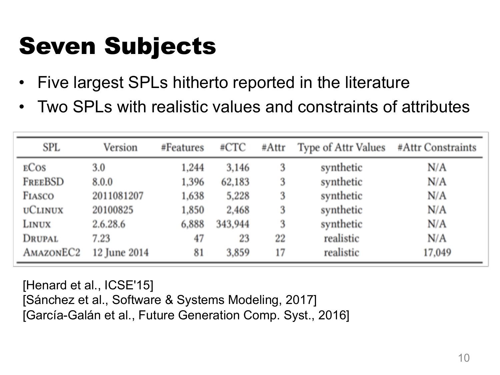## Seven Subjects

- Five largest SPLs hitherto reported in the literature
- Two SPLs with realistic values and constraints of attributes

| SPL                   | Version      | #Features | #CTC    | #Attr | Type of Attr Values | #Attr Constraints |  |  |
|-----------------------|--------------|-----------|---------|-------|---------------------|-------------------|--|--|
| <b>ECOS</b>           | 3.0          | 1,244     | 3,146   | 3     | synthetic           | N/A               |  |  |
| FREEBSD               | 8.0.0        | 1,396     | 62,183  | 3     | synthetic           | N/A               |  |  |
| FIASCO                | 2011081207   | 1,638     | 5,228   | 3     | synthetic           | N/A               |  |  |
| <b>UCLINUX</b>        | 20100825     | 1,850     | 2,468   | 3     | synthetic           | N/A               |  |  |
| LINUX                 | 2.6.28.6     | 6,888     | 343,944 | 3     | synthetic           | N/A               |  |  |
| DRUPAL                | 7.23         | 47        | 23      | 22    | realistic           | N/A               |  |  |
| AMAZONEC <sub>2</sub> | 12 June 2014 | 81        | 3,859   | 17    | realistic           | 17,049            |  |  |

[Henard et al., ICSE'15] [Sánchez et al., Software & Systems Modeling, 2017] [García-Galán et al., Future Generation Comp. Syst., 2016]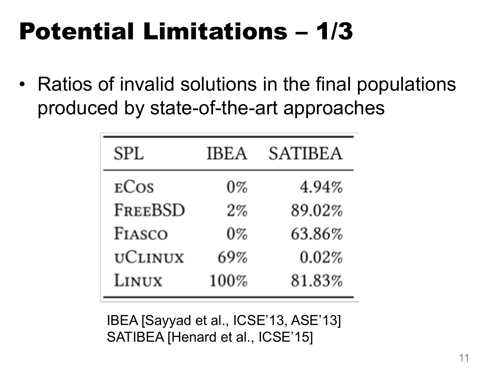# Potential Limitations – 1/3

• Ratios of invalid solutions in the final populations produced by state-of-the-art approaches

| <b>SPL</b>     | <b>IBEA</b> | <b>SATIBEA</b> |
|----------------|-------------|----------------|
| ECOS           | $0\%$       | 4.94%          |
| FREEBSD        | $2\%$       | 89.02%         |
| FIASCO         | $0\%$       | 63.86%         |
| <b>UCLINUX</b> | 69%         | 0.02%          |
| LINUX          | 100%        | 81.83%         |

IBEA [Sayyad et al., ICSE'13, ASE'13] SATIBEA [Henard et al., ICSE'15]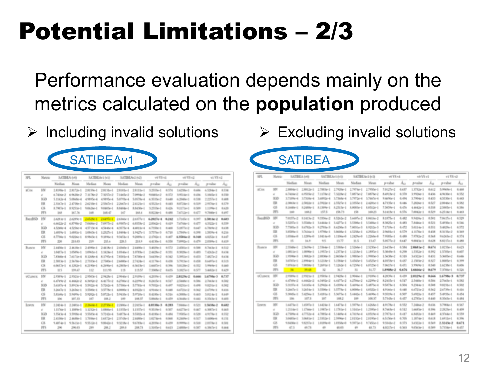# Potential Limitations – 2/3

### Performance evaluation depends mainly on the metrics calculated on the **population** produced



| 525.                   | Nietric      | SATINIA (set)      |              | SATIBEArt (vt) |                     | SATINIAC ICE        |             | wt/VS vd.     |          | will WS act        |       | ut VS už        |          |
|------------------------|--------------|--------------------|--------------|----------------|---------------------|---------------------|-------------|---------------|----------|--------------------|-------|-----------------|----------|
|                        |              | <b>Median</b>      | Massa        | Median         | Mean                | Median              | Messa       | p-value       | $A_{12}$ | p-caller           | Au    | p-value         | $A_{12}$ |
| <b>ECos</b>            | HV           | $2.8795e-1$        | 2.81726-1    | 2.8159e-1      | $2.8134 - 1$        | $2.8001 + 1$        | 2,81134-1   | 3.2958e-1     | 4.574    | $1.627$ Her- $2$   | 0.406 | 4.1284e-1       | 0.134    |
|                        |              | 6.74the-2          | 6.96.35p.2   | 7.117Ne-2      | 7.52574-2           | 7.14tle-2           | T1009&c (2) | 5.040 Earl Z  | 6.972    | 3 Million II       | 0.478 | S. Hitler-1     | 6.550    |
|                        | <b>Kill</b>  | $5.1043e-4$        | S.06s/6r-4   | 4,9895e-4      | 4,9895e-4           | SATYN-4             | 5.0576e-4   | 6.3535e-2     | 0.140    | 4.2545p-2          | 0.598 | $2.2257p-1$     | 0.400    |
|                        | ER           | $2.3067\text{e-}1$ | 2.479br E    | 2.6210e-1      | 2.5367 <sub>P</sub> | 2.2667e-1           | 2.412 km E  | 4.9525e-1     | 6.443    | RATOR- D           | 4.529 | $2.957$ for $1$ | 6.579    |
|                        | GS-          | A.7403a-1          | 8.92534-5    | 9.0626e-1      | 9.0405e-1           | 5.54561-2           | RACKe-1     | 3,2553p-1     | 0.426    | Woodhise-it        | 0.509 | 1.17956-1       | 8.620    |
|                        | PFS          | 148                | 147.76       | 168            | 188.47              | 147                 | 16R.6       | 8.822 lie-1   | 6.488    | Talfstard          | 6.477 | 9.7040e-1       | 6.497    |
| Fund85D                | HV           | 2.6281e-1          | 242He-1      | 2.8125e-1      |                     | 2.6490e-1 2.63me-1  | 24875e-1    | 6.2027a-4     | 6.363    | 1.70 dilect        | 4.347 | 1.981 far-2     | 0.683    |
|                        | $\mathbb{R}$ | 6.66756-2          | 4.8798e-2    | T.04Mar-2      |                     | TUNTING ARRESTS     | 4.8553e-2   | $2.8362e-1$   | 0.429    | Tal7ste-1          | 4.477 | 4,75234-1       | 4,518    |
|                        | <b>KiD</b>   | 4.5349e-4          | 4.12566-4    | 4.5719e-4      | 4.5446e-4           | 6.35756-4           | 4.40134-4   | 6.78Me-1      | 6.448    | 1.00Th-2           | 0.007 | 6.7866-2        | 6.638    |
|                        | ER           | 1.6839p-1          | 1.6883e-1    | 1.0863e-1      | 1.23274-1           | 1.5454c-1           | 1,9427410   | 5.7576e-5.    | 6.718    | 1.7845kr (f)       | 4.946 | 1,5039414       | 8,216    |
|                        | GS.          | 8.7730e-D          | 9.02266-1    | 8.9863e-1      | 9.1996e-1           | 9.94914-1           | 9.2889e-1   | $2.1702 - 1$  | 0.407    | 4.1986+2           | 6.348 | 4.82526-1       | 0.447    |
|                        | PFS          | 339                | 218.03       | 209            | 2014                | 229.5               | 218.9       | 4.4130e-1     | 6.558    | T. MMGlas D        | 6.479 | 2.930 No. 3     | 6,419    |
| <b>TIANCO</b>          | HV.          | 2.4490e-1          | 2-460 fe-5   | 2.4390a-1      | 2.441 Ke-1          | $2.42$ modus $-1$   | $2.4400a-1$ | 3.40294-1     | 6.572    | 2 ADMIAN E         | 0.546 | A.Testie-1      | 6.512    |
|                        | $\alpha$     | $1.0437a - 1$      | 1.050%-1     | 1.096.5e-1     | $1.3426e-1$         | 1.0346r-0           | 1.07KM-1    | 2.4425e-2     | 6.331    | 5.3025e-1          | 0.453 | TADMIN-Z        | 0.034    |
|                        | <b>KZD</b>   | 7.83ste-4          | T4470e-4     | 8.1368e-4      | 8.1795e-4           | TANISed             | 7.87mle-4   | 3.6439e-2     | 6.342    | 5.995/ard          | 6.453 | Tuesting        | 0.034    |
|                        | ER           | $2.5833a-1$        | 2:5670e-1    | $2.7100e-1$    | 2.7300e-1           | 2.6000e-0           | 27424-1     | 4.11796-1     | 0.438    | 5.79(Se-2)         | 0.458 | SAINTH-1        | 0.513    |
|                        | GS.          | 6.06374-1          | 6.1202e-1    | $4.2190e-1$    | $4.20\,\text{MeV}$  | $4.29878 - 1$       | 6.3603e-0   | $1.0057 - 1$  | 6.3%     | SAUN+2             | 4.152 | $1.0944n-1$     | 5.840    |
|                        | PPS.         | 115                | 139.67       | 11/2           | 111.95              | 113                 | 115.57      | 7.9306e-2     | 8455     | 5.982Tex 0         | 4.577 | $3.4685 - 1$    | 6.429    |
| <b><i>UCLINITY</i></b> | <b>IFK</b>   | 2.9389a-3          | 2:9925e-E    | 2.950Se-1      | 2.9425e-3           | 2:50 Alan 3         | 2:10 Mar 1  | 4,3099p-1     | 0.430    | 2.81294-2          | 0.666 | 147Me-3         | 6,757    |
|                        |              | 6.4749e-2          | 6.8043e-2    | 6.3492e-2      | 6.41774-2           | 6.2706e-2           | 6.22996-2   | R.2415e-1     | 6317     | $2.5$ and ke $3$   | 4.3%  | $2.7$ million-1 | 4, 582   |
|                        | 37.273       | SAUGHT-4           | 5.8903e-4    | 5.94(Se-4)     | 5.7362e-4           | 5.75Mar-4           | 5.7783e-4   | 9.7052p-1     | 0.497    | 9.82% and          | 1.416 | 9.875km E       | 4,542    |
|                        | ER           | 3.26674-1          | 3.2656e-0    | $1.1506e-1$    | $3.5778 - 1$        | 41,000064-1         | 4.01034-1   | 4.9146e-1     | 0.448    | AATOM-Z            | 0.362 | 2.47396-1       | 0.416    |
|                        | GS.          | 5. Kindle-1        | Scheme II    | 5.9202e-E      | S.KT25mll           | 5.9439e-1           | 5.97(de-)   | 8.4180c-1     | 0.516    | 6.300lic 0         | 6.853 | 5.813 Ke-3      | 6,449    |
|                        | PFS          | 106                | 107.53       | 100            | 1004.2              | 300                 | 106.57      | $5.00444 - 1$ | 0.470    | 4.36456-1          | 1.440 | 8.104 Se-T      | 0.483    |
| Louis                  | <b>ITV</b>   | 2.2424e-1          | 2.14934-1    | 2,2646-1       |                     | 2.2750e-3 2.2496e-3 | $2.2405e-1$ | 4.0138m-3     | 0.283    | T. Milleton-12     | 4.523 | 1.5kMe-2        | 0.682    |
|                        | $\mathbf{r}$ | 1.1076e-3          | 1.100% - 1   | 1.1252e-1      | $1.0000 \text{km}$  | 1.1935e-1           | 1.1502e-li  | 9.353 Ser 3   | 6.907    | <b>BACTING</b>     | 0.80  | 6.3852-1        | 6.443    |
|                        | KØ           | 3.5543e-4          | 3:3/0984-4   | 3.5583e-4      | 3.7342e-4           | 5.48734-4           | 3.5502e-4   | 5.41Ma-1      | 0.454    | Transport          | 4.526 | 4.91784-1       | 4.552    |
|                        | ER           | 2.4190e-0          | $2.44.09e-1$ | $1.70$ Mar-1   | $1.6372 - 1$        | $2.3743e-1$         | $2.4490e-1$ | $1.0274e-6$   | 0.948    | R.2MRe-1           | 4.927 | 3.400 km 4.     | 6.111    |
|                        | GS.          | 9.4074 - 0         | 9.56134-0    | 9.9512p-1      | 9.8042p-1           | 9.52 (6x-1)         | 9:4783p-E   | 4.30 Mar 1    | 6.439    | A member of        | 6.546 | 2.817 No. 3     | 4,581    |
|                        | PFS.         | 290                | 290.03       | 289            | 283.2               | 289.6               | 288.73      | $1.3305 - 1$  | BAIS     | $2.4000\text{keV}$ | 4.347 | 4.39674-1       | 0.444    |

 $\triangleright$  Including invalid solutions  $\triangleright$  Excluding invalid solutions



| 52%             | Metric         |                    | SATISEA MIL           |                                       | SATIBEA/10/10 SATIBEA/c2/v20 v0/V5/v1 |                            |              |               |       | with VS with     |       | vi Vš.v2                       |       |
|-----------------|----------------|--------------------|-----------------------|---------------------------------------|---------------------------------------|----------------------------|--------------|---------------|-------|------------------|-------|--------------------------------|-------|
|                 |                | Median             | Miran.                | Median                                | Mean                                  | Median                     | Maun         | p value       | Au    | pyalue           | Au    | p-value                        | Au    |
| of Cost         | w              | $2.9004 - 1$       | $2.99925 - 1$         |                                       | 27885e-1 27939e-1 27974e-1            |                            | 2.7955e-t    | Totalie-2     | 0.437 | 1.57324-3        | 0.412 | 5.99pla-1                      | 0.460 |
|                 | $\mathbb{R}$   | 6.7406e12          | 6.Miller-2            | T.IXTNev.2                            | 7.32264-2                             | 7.08754-2                  | T1809a-2     | 8. ARTS No. 2 | 0.370 | 3: Hitchian 1    | 0.436 | & No Mar-1                     | 6/552 |
|                 | KD             | 3.73994.4          | $37300 - 4$           | $3.6892 + 4$                          | 3.7365c-4 3.7972c-4                   |                            | 3.76674-4    | 9.46764-3     | 0.496 | 3.7904e-3        | 0.433 | 4.5530e-3                      | 6.443 |
|                 | E              | $2.306$ for $1$    | $2.9822 - 1$          |                                       | 2,9822-1 2,9327-1 2,3355-1            |                            | 2.420 le-1   | 4.733le-1     | 0.446 | T.2836e-1        | 6.327 | $2.8046e-1$                    | 6.382 |
|                 | 68             | 5.340k-2           | ILDARN-T              |                                       | 8.1309a-1 8.2515a-1                   | 5,00634-1                  | 8.0513p-1    | T Service-1   | 0.476 | 4.4643x-3        | 0.358 | 2.5mmla-1                      | 0.586 |
|                 | PFS.           | $-$                | 188.2                 | 152.5                                 | 158.75                                | 158                        | 160.23       | 3.1403e-1     | 0.176 | T/MH2+1          | 0.129 | $4.2114 - 1$                   | 6.463 |
| Familli@        | <b>SEC</b>     | T-BUSTe-2          |                       | AIGIN-2 933Me-2 ASSOc2 SAMPle2 AMON-2 |                                       |                            |              | 8.1875e-1     | 0.482 | 9:NEIG-1         | 6.301 | TAUTHI                         | 6.529 |
|                 | $\alpha$       | 3.5257a-1          | 3.5548e-3             |                                       | 3.6448c-1 3.4277c-1 3.5300c-1         |                            | 3.5494e-0    | 8.3025e-3     | 0.483 | T.6446e-3        | 6.521 | 5. <i>IFF30x</i> -1            | 0.546 |
|                 | SC25           | $2.7$ m/s $\pm$    | RATED-1               |                                       | 9.2705p-S AA250p-S                    | 7.0050e-S                  | 8.9212a-3    | T.1709e-1     | 6.472 | 5.01/14e-1       | 0.351 | 3.4629e-1                      | 6.572 |
|                 | ER.            | 3.85mlp-1          | 3.7635e-1             |                                       | 1,9798c-1 3,0008c-1 4,5238c-1         |                            | 4.2923e-1    | 2:96034-3     | 0.579 | 4.1176e-1        | 0.438 | 8.3133e-2                      | 0.369 |
|                 | $\circ$        | 1.41Mar-8          | 1.12996-6             |                                       | 1.9418-0 1.1106-0 1.2429-0            |                            | 1.22Ma-8     | T.9585e-1     | 0.480 | T.R783a-2        | 6.368 | 9.6263e-2                      | 6.374 |
|                 | PFS.           | 15                 | 146.70                | 95                                    | ELT?                                  | 11.5                       | 15.67        | 5.0573a-2     | 0.647 | 9:00 (Se-)       | 0.428 | 8.8217e-1                      | 0.488 |
| <b>Палаго</b>   | $10\%$         | 2.55456-2          | $2.56(19a-1)$         | $2.5244 + 1$                          | $2.5388e-1$                           | 2.5268e-1                  | 2.52XM-0     | 2.64X5e-3     | 0.584 | 2.068 Se-2       | 8.674 | 1.0235e-1                      | 6.425 |
|                 | $\overline{a}$ | $2.69022e-2$       | $1.0096a - 1$         | $1.19922 + 1$                         | $1.2373e-1$                           | $1.1218e-1$                | 1.1897a-1    | 1.30 Pla-3    | 8,290 | 1.5353e-1        | 6,392 | 1.5783e-1                      | 6.607 |
|                 | <b>KZ</b>      | $1.9500a-3.$       | 1,90824-3             | 2.0030a-5                             | $2.0658\mu$ -3                        | 1,98834-3                  | 1,990 kp-3   | 1.5635e-2     | 0.316 | 5.6323m-3        | 0.470 | 5. Initia-2                    | 0.646 |
|                 | $\mathbb{R}$   | <b>SATISFIELD</b>  | $2.8984e-1$           | $3.1218e-1$                           | 3.1384e-1                             | 3.45 (Che-1)               | 3.45254-1    | 4.00Y(3e-1)   | 0.437 | 2.1989a-2        | 6.327 | $1.0003\text{e}$ <sup>-1</sup> | 0.399 |
|                 | GS.            |                    | Traillin 4 Transfer-1 | 7.2695m E                             |                                       | 7.1362c1 4.7259c1 4.8723c1 |              | T:06/(Ta-1)   | 0.471 | $5.996$ fig. $1$ | 0.340 | 1.6238e-1                      | 0.006 |
|                 | PF6            | --                 | 29.43                 | 12                                    | 31.7                                  | 33                         | 31.77        | 1.9908e-2     | 0.676 | $1.6666e-2$      | 0.679 | T.1706e-1                      | 6.126 |
| <b>UCLINITY</b> | SEC.           | $2$ 97,000 to $-1$ | $29021e-1$            |                                       | 2/09/0-1 2/428-1 2/800-1              |                            | 2.910 No. 1  | 4.20/Ple-1    | 0.439 | 2,8129e-2        | 0.666 | 1.6798e-3                      | 8.737 |
|                 | $\overline{a}$ | 6.47494-2          |                       | 6840x2 6340x2 64f7v2 6206x2           |                                       |                            | 4.2299a-2    | A Distributed | 0.517 | $2.5445e-1$      | 0.386 | 2.7mlfe-1                      | 6,582 |
|                 | <b>KZ</b>      | S.SUED-4           | SAD45m-4              |                                       | S2N2H4 S433NH4 S46NAH4                |                            | 1.4873e-4    | 9.5873e-3     | 0.504 | 9.2344e-3        | 0.308 | 9.8231e-1                      | 6,902 |
|                 | $\mathbb{R}$   | 5.2m/le-2          | 3.265 km-1            |                                       | 3.5300e-1 3.577Ne-1 4.0000e-1         |                            | 4.0523e-1    | 4.91min-3     | 0.448 | 6.67234-2        | 0.362 | 2.6739p-1                      | 0.436 |
|                 | GS.            | $1.394\% + 1.$     |                       | 1429e-1 1409e-1 1367e-1 1460e-1       |                                       |                            | $1.44/85e-1$ | 9.3509e-3     | 6.907 | $1.4433 - 1$     | 6.457 | $1.4913a-1$                    | 6.454 |
|                 | PFS.           | 10th               | 107.3.                | 107                                   | 148.2                                 | 199                        | 108.37       | 5.79 (Se-)    | 0.457 | 4.2783e-1        | 0.480 | 8.3343e-1                      | 6.484 |
| Lowes           | $10\%$         | 1.6479c-E          | 1,6597a-2             | $1.6428 - 1$                          | 1.6473e-1                             | 1,94794-1                  | 1.42Me-1     | 4.9178e-3     | 0.552 | T.2446e-2        | 0.436 | 5.790 day-1                    | 6/567 |
|                 | $\mathbb{R}$   | 1,210-64-11        | $1.17$ Mar-1          | $1.1987 + 1$                          | $1.1781e-1$                           | 1.3140e-1                  | 1.2393e-0    | 8.7mile-3     | 0.112 | $1.44875e-1$     | 6.706 | $2.2823e-1$                    | 0.409 |
|                 | $\overline{3}$ | 4.7566-4           | 4775244               | 4.78854-4                             |                                       | 5.1449p-4 4.7619p-4        | 4.851/4r-4   | 2.7673a-3     | 0.417 | 6.84324-3        | 0.403 | 4.5764p-3                      | 0.359 |
|                 | 13             | 3.0405e-D          | $1.0641 + 1$          | $2.5852 - 1$                          | 2.5996e-1                             | 2.91326-1                  | 2.8193e-1    | 6.51566-3     | 0.305 | 1.1874 - 1       | 0.418 | 1,6911e-1                      | 0.3%  |
|                 | GS.            | 5.BATRA D          | <b>SAZETA-1</b>       | 1.81Mic-8                             |                                       | 1.4558e-0 9.9472e-1        | 9:745(le-1)  | 9.55414-2     | 0.375 | SANIJe-1         | 6.569 | 2.3045e-2                      | 8.671 |
|                 | prs.           | $-5$               | 49.73                 | $\leftarrow$                          | 49.05                                 | $\frac{1}{2}$              | 48.73        | 4.0217a-1     | 0.545 | 9.05(da-1)       | 0.300 | 5.7XMe-1                       | 6.457 |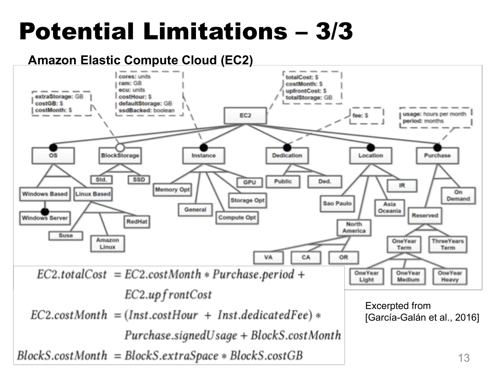# Potential Limitations – 3/3

#### **Amazon Elastic Compute Cloud (EC2)**

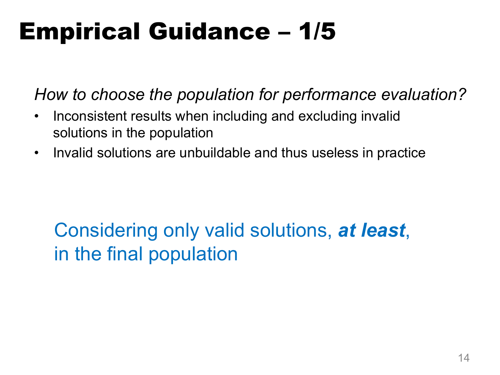# Empirical Guidance – 1/5

*How to choose the population for performance evaluation?*

- Inconsistent results when including and excluding invalid solutions in the population
- Invalid solutions are unbuildable and thus useless in practice

### Considering only valid solutions, *at least*, in the final population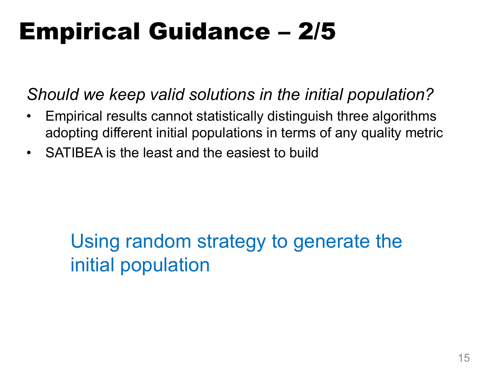### Empirical Guidance – 2/5

*Should we keep valid solutions in the initial population?*

- Empirical results cannot statistically distinguish three algorithms adopting different initial populations in terms of any quality metric
- SATIBEA is the least and the easiest to build

### Using random strategy to generate the initial population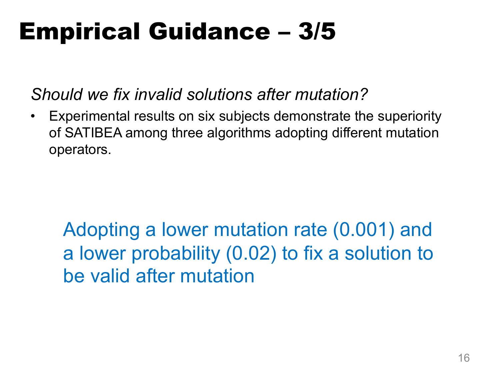### Empirical Guidance – 3/5

*Should we fix invalid solutions after mutation?*

• Experimental results on six subjects demonstrate the superiority of SATIBEA among three algorithms adopting different mutation operators.

Adopting a lower mutation rate (0.001) and a lower probability (0.02) to fix a solution to be valid after mutation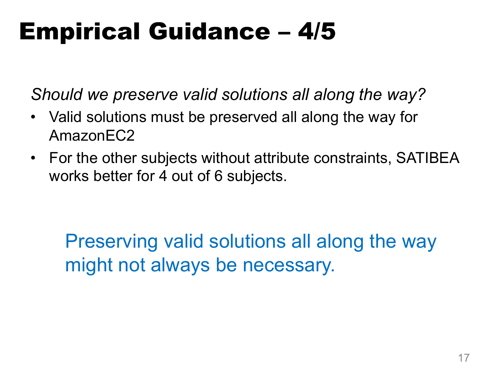### Empirical Guidance – 4/5

*Should we preserve valid solutions all along the way?*

- Valid solutions must be preserved all along the way for AmazonEC2
- For the other subjects without attribute constraints, SATIBEA works better for 4 out of 6 subjects.

Preserving valid solutions all along the way might not always be necessary.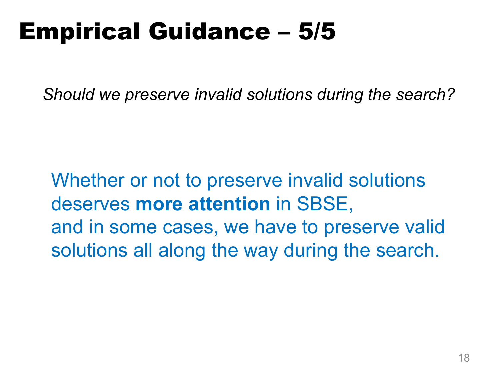### Empirical Guidance – 5/5

*Should we preserve invalid solutions during the search?*

Whether or not to preserve invalid solutions deserves **more attention** in SBSE, and in some cases, we have to preserve valid solutions all along the way during the search.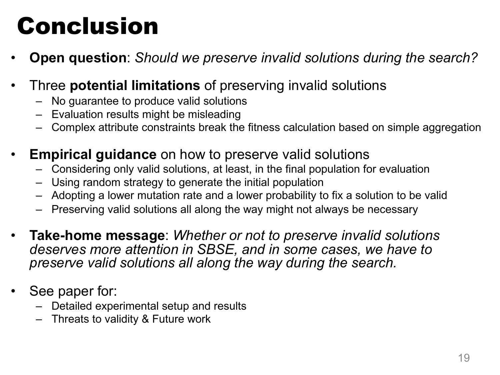### Conclusion

- **Open question**: *Should we preserve invalid solutions during the search?*
- Three **potential limitations** of preserving invalid solutions
	- No guarantee to produce valid solutions
	- Evaluation results might be misleading
	- Complex attribute constraints break the fitness calculation based on simple aggregation
- **Empirical guidance** on how to preserve valid solutions
	- Considering only valid solutions, at least, in the final population for evaluation
	- Using random strategy to generate the initial population
	- Adopting a lower mutation rate and a lower probability to fix a solution to be valid
	- Preserving valid solutions all along the way might not always be necessary
- **Take-home message**: *Whether or not to preserve invalid solutions deserves more attention in SBSE, and in some cases, we have to preserve valid solutions all along the way during the search.*
- See paper for:
	- Detailed experimental setup and results
	- Threats to validity & Future work